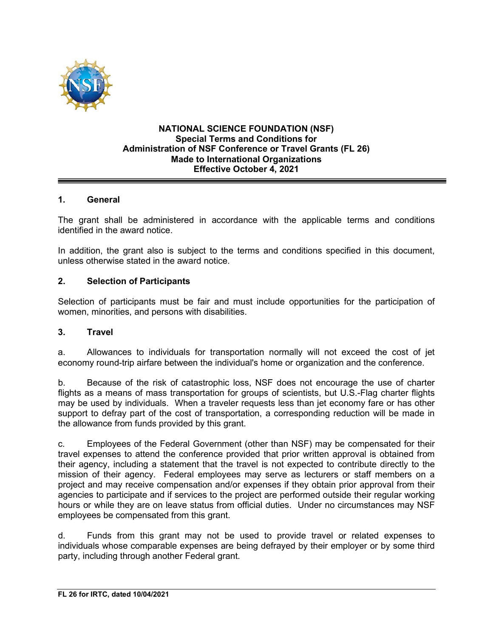

#### **NATIONAL SCIENCE FOUNDATION (NSF) Special Terms and Conditions for Administration of NSF Conference or Travel Grants (FL 26) Made to International Organizations Effective October 4, 2021**

## **1. General**

The grant shall be administered in accordance with the applicable terms and conditions identified in the award notice.

In addition, the grant also is subject to the terms and conditions specified in this document, unless otherwise stated in the award notice.

#### **2. Selection of Participants**

Selection of participants must be fair and must include opportunities for the participation of women, minorities, and persons with disabilities.

#### **3. Travel**

a. Allowances to individuals for transportation normally will not exceed the cost of jet economy round-trip airfare between the individual's home or organization and the conference.

b. Because of the risk of catastrophic loss, NSF does not encourage the use of charter flights as a means of mass transportation for groups of scientists, but U.S.-Flag charter flights may be used by individuals. When a traveler requests less than jet economy fare or has other support to defray part of the cost of transportation, a corresponding reduction will be made in the allowance from funds provided by this grant.

c. Employees of the Federal Government (other than NSF) may be compensated for their travel expenses to attend the conference provided that prior written approval is obtained from their agency, including a statement that the travel is not expected to contribute directly to the mission of their agency. Federal employees may serve as lecturers or staff members on a project and may receive compensation and/or expenses if they obtain prior approval from their agencies to participate and if services to the project are performed outside their regular working hours or while they are on leave status from official duties. Under no circumstances may NSF employees be compensated from this grant.

d. Funds from this grant may not be used to provide travel or related expenses to individuals whose comparable expenses are being defrayed by their employer or by some third party, including through another Federal grant.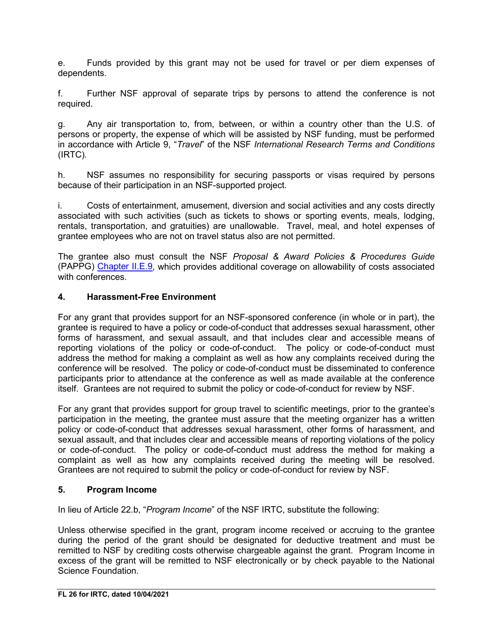e. Funds provided by this grant may not be used for travel or per diem expenses of dependents.

f. Further NSF approval of separate trips by persons to attend the conference is not required.

g. Any air transportation to, from, between, or within a country other than the U.S. of persons or property, the expense of which will be assisted by NSF funding, must be performed in accordance with Article 9, "*Travel*" of the NSF *International Research Terms and Conditions* (IRTC)*.*

h. NSF assumes no responsibility for securing passports or visas required by persons because of their participation in an NSF-supported project.

i. Costs of entertainment, amusement, diversion and social activities and any costs directly associated with such activities (such as tickets to shows or sporting events, meals, lodging, rentals, transportation, and gratuities) are unallowable. Travel, meal, and hotel expenses of grantee employees who are not on travel status also are not permitted.

The grantee also must consult the NSF *Proposal & Award Policies & Procedures Guide* (PAPPG) Chapter II.E.9, which provides additional coverage on allowability of costs associated with conferences

## **4. Harassment-Free Environment**

For any grant that provides support for an NSF-sponsored conference (in whole or in part), the grantee is required to have a policy or code-of-conduct that addresses sexual harassment, other forms of harassment, and sexual assault, and that includes clear and accessible means of reporting violations of the policy or code-of-conduct. The policy or code-of-conduct must address the method for making a complaint as well as how any complaints received during the conference will be resolved. The policy or code-of-conduct must be disseminated to conference participants prior to attendance at the conference as well as made available at the conference itself. Grantees are not required to submit the policy or code-of-conduct for review by NSF.

For any grant that provides support for group travel to scientific meetings, prior to the grantee's participation in the meeting, the grantee must assure that the meeting organizer has a written policy or code-of-conduct that addresses sexual harassment, other forms of harassment, and sexual assault, and that includes clear and accessible means of reporting violations of the policy or code-of-conduct. The policy or code-of-conduct must address the method for making a complaint as well as how any complaints received during the meeting will be resolved. Grantees are not required to submit the policy or code-of-conduct for review by NSF.

## **5. Program Income**

In lieu of Article 22.b, "*Program Income*" of the NSF IRTC, substitute the following:

Unless otherwise specified in the grant, program income received or accruing to the grantee during the period of the grant should be designated for deductive treatment and must be remitted to NSF by crediting costs otherwise chargeable against the grant. Program Income in excess of the grant will be remitted to NSF electronically or by check payable to the National Science Foundation.